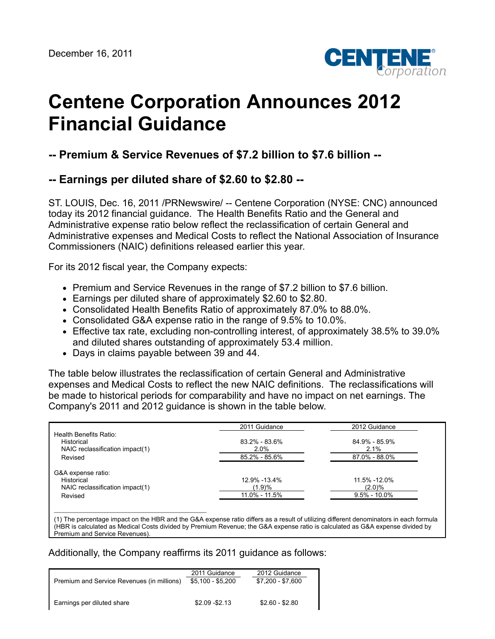

## **Centene Corporation Announces 2012 Financial Guidance**

**-- Premium & Service Revenues of \$7.2 billion to \$7.6 billion --**

## **-- Earnings per diluted share of \$2.60 to \$2.80 --**

ST. LOUIS, Dec. 16, 2011 /PRNewswire/ -- Centene Corporation (NYSE: CNC) announced today its 2012 financial guidance. The Health Benefits Ratio and the General and Administrative expense ratio below reflect the reclassification of certain General and Administrative expenses and Medical Costs to reflect the National Association of Insurance Commissioners (NAIC) definitions released earlier this year.

For its 2012 fiscal year, the Company expects:

- Premium and Service Revenues in the range of \$7.2 billion to \$7.6 billion.
- Earnings per diluted share of approximately \$2.60 to \$2.80.
- Consolidated Health Benefits Ratio of approximately 87.0% to 88.0%.
- Consolidated G&A expense ratio in the range of 9.5% to 10.0%.
- Effective tax rate, excluding non-controlling interest, of approximately 38.5% to 39.0% and diluted shares outstanding of approximately 53.4 million.
- Days in claims payable between 39 and 44.

\_\_\_\_\_\_\_\_\_\_\_\_\_\_\_\_\_\_\_\_\_\_\_\_\_\_\_\_\_\_\_\_\_\_\_\_\_\_\_\_\_\_\_\_\_\_\_\_\_\_\_

The table below illustrates the reclassification of certain General and Administrative expenses and Medical Costs to reflect the new NAIC definitions. The reclassifications will be made to historical periods for comparability and have no impact on net earnings. The Company's 2011 and 2012 guidance is shown in the table below.

|                                      | 2011 Guidance | 2012 Guidance    |
|--------------------------------------|---------------|------------------|
| Health Benefits Ratio:<br>Historical | 83.2% - 83.6% | 84.9% - 85.9%    |
| NAIC reclassification impact(1)      | 2.0%          | $2.1\%$          |
| Revised                              | 85.2% - 85.6% | 87.0% - 88.0%    |
| G&A expense ratio:                   |               |                  |
| Historical                           | 12.9% - 13.4% | 11.5% -12.0%     |
| NAIC reclassification impact(1)      | (1.9)%        | (2.0)%           |
| Revised                              | 11.0% - 11.5% | $9.5\% - 10.0\%$ |

(1) The percentage impact on the HBR and the G&A expense ratio differs as a result of utilizing different denominators in each formula (HBR is calculated as Medical Costs divided by Premium Revenue; the G&A expense ratio is calculated as G&A expense divided by Premium and Service Revenues).

## Additionally, the Company reaffirms its 2011 guidance as follows:

| Premium and Service Revenues (in millions) | 2011 Guidance<br>\$5.100 - \$5.200 | 2012 Guidance<br>\$7.200 - \$7.600 |
|--------------------------------------------|------------------------------------|------------------------------------|
| Earnings per diluted share                 | $$2.09 - $2.13$                    | $$2.60 - $2.80$                    |